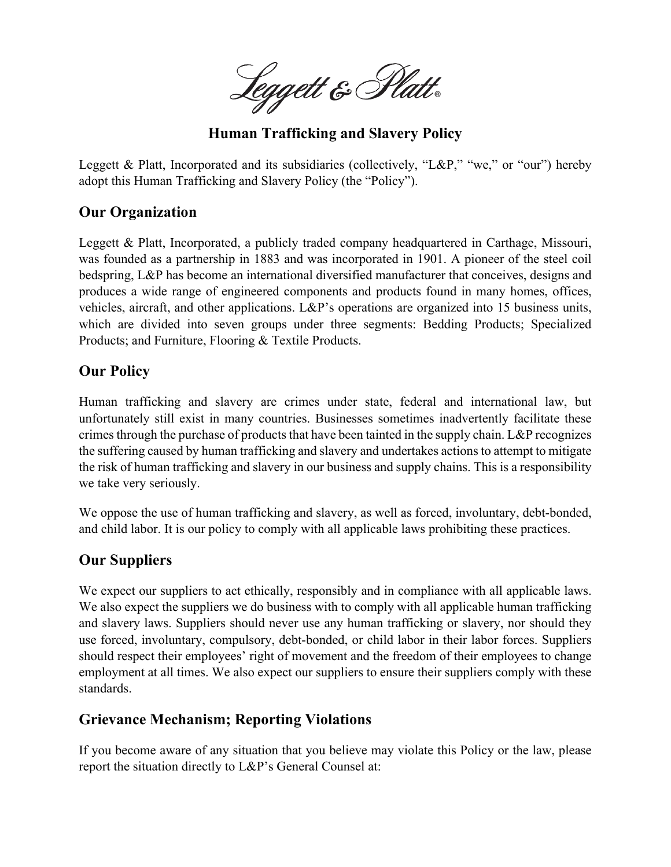Leggett & Platt.

**Human Trafficking and Slavery Policy**

Leggett & Platt, Incorporated and its subsidiaries (collectively, "L&P," "we," or "our") hereby adopt this Human Trafficking and Slavery Policy (the "Policy").

## **Our Organization**

Leggett & Platt, Incorporated, a publicly traded company headquartered in Carthage, Missouri, was founded as a partnership in 1883 and was incorporated in 1901. A pioneer of the steel coil bedspring, L&P has become an international diversified manufacturer that conceives, designs and produces a wide range of engineered components and products found in many homes, offices, vehicles, aircraft, and other applications. L&P's operations are organized into 15 business units, which are divided into seven groups under three segments: Bedding Products; Specialized Products; and Furniture, Flooring & Textile Products.

## **Our Policy**

Human trafficking and slavery are crimes under state, federal and international law, but unfortunately still exist in many countries. Businesses sometimes inadvertently facilitate these crimes through the purchase of products that have been tainted in the supply chain. L&P recognizes the suffering caused by human trafficking and slavery and undertakes actions to attempt to mitigate the risk of human trafficking and slavery in our business and supply chains. This is a responsibility we take very seriously.

We oppose the use of human trafficking and slavery, as well as forced, involuntary, debt-bonded, and child labor. It is our policy to comply with all applicable laws prohibiting these practices.

## **Our Suppliers**

We expect our suppliers to act ethically, responsibly and in compliance with all applicable laws. We also expect the suppliers we do business with to comply with all applicable human trafficking and slavery laws. Suppliers should never use any human trafficking or slavery, nor should they use forced, involuntary, compulsory, debt-bonded, or child labor in their labor forces. Suppliers should respect their employees' right of movement and the freedom of their employees to change employment at all times. We also expect our suppliers to ensure their suppliers comply with these standards.

## **Grievance Mechanism; Reporting Violations**

If you become aware of any situation that you believe may violate this Policy or the law, please report the situation directly to L&P's General Counsel at: